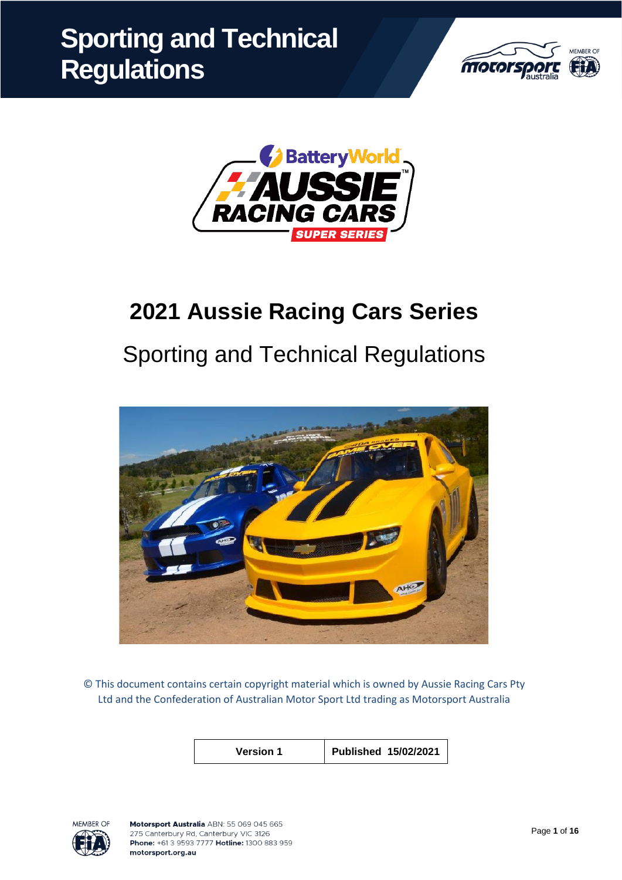



# **2021 Aussie Racing Cars Series**

# Sporting and Technical Regulations



© This document contains certain copyright material which is owned by Aussie Racing Cars Pty Ltd and the Confederation of Australian Motor Sport Ltd trading as Motorsport Australia

| <b>Version 1</b> | Published 15/02/2021 |
|------------------|----------------------|
|                  |                      |

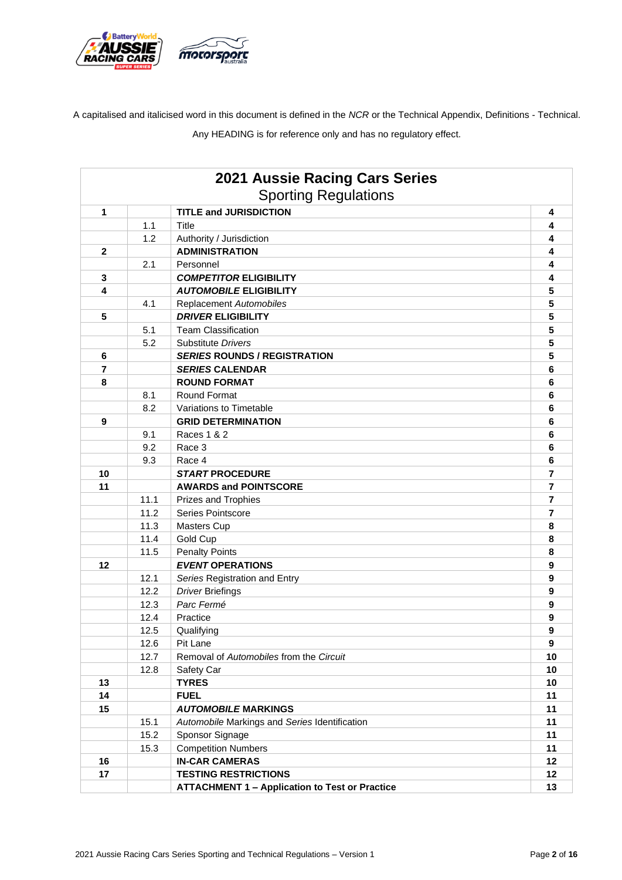

A capitalised and italicised word in this document is defined in the *NCR* or the Technical Appendix, Definitions - Technical.

Any HEADING is for reference only and has no regulatory effect.

|              |      | 2021 Aussie Racing Cars Series<br><b>Sporting Regulations</b> |                  |
|--------------|------|---------------------------------------------------------------|------------------|
| $\mathbf{1}$ |      | <b>TITLE and JURISDICTION</b>                                 | 4                |
|              | 1.1  | Title                                                         | 4                |
|              | 1.2  | Authority / Jurisdiction                                      | 4                |
| $\mathbf{2}$ |      | <b>ADMINISTRATION</b>                                         | 4                |
|              | 2.1  | Personnel                                                     | 4                |
| $\mathbf 3$  |      | <b>COMPETITOR ELIGIBILITY</b>                                 | 4                |
| 4            |      | <b>AUTOMOBILE ELIGIBILITY</b>                                 | 5                |
|              | 4.1  | Replacement Automobiles                                       | 5                |
| 5            |      | <b>DRIVER ELIGIBILITY</b>                                     | 5                |
|              | 5.1  | <b>Team Classification</b>                                    | 5                |
|              | 5.2  | Substitute Drivers                                            | 5                |
| 6            |      | <b>SERIES ROUNDS / REGISTRATION</b>                           | 5                |
| 7            |      | <b>SERIES CALENDAR</b>                                        | 6                |
| 8            |      | <b>ROUND FORMAT</b>                                           | 6                |
|              | 8.1  | Round Format                                                  | 6                |
|              | 8.2  | Variations to Timetable                                       | 6                |
| 9            |      | <b>GRID DETERMINATION</b>                                     | 6                |
|              | 9.1  | Races 1 & 2                                                   | 6                |
|              | 9.2  | Race 3                                                        | 6                |
|              | 9.3  | Race 4                                                        | 6                |
| 10           |      | <b>START PROCEDURE</b>                                        | 7                |
| 11           |      | <b>AWARDS and POINTSCORE</b>                                  | 7                |
|              | 11.1 | <b>Prizes and Trophies</b>                                    | 7                |
|              | 11.2 | Series Pointscore                                             | 7                |
|              | 11.3 | <b>Masters Cup</b>                                            | 8                |
|              | 11.4 | Gold Cup                                                      | 8                |
|              | 11.5 | <b>Penalty Points</b>                                         | 8                |
| 12           |      | <b>EVENT OPERATIONS</b>                                       | 9                |
|              | 12.1 | Series Registration and Entry                                 | 9                |
|              | 12.2 | <b>Driver Briefings</b>                                       | $\boldsymbol{9}$ |
|              | 12.3 | Parc Fermé                                                    | 9                |
|              | 12.4 | Practice                                                      | 9                |
|              | 12.5 | Qualifying                                                    | 9                |
|              | 12.6 | Pit Lane                                                      | 9                |
|              | 12.7 | Removal of Automobiles from the Circuit                       | 10               |
|              | 12.8 | Safety Car                                                    | 10               |
| 13           |      | <b>TYRES</b>                                                  | 10               |
| 14           |      | <b>FUEL</b>                                                   | 11               |
| 15           |      | <b>AUTOMOBILE MARKINGS</b>                                    | 11               |
|              | 15.1 | Automobile Markings and Series Identification                 | 11               |
|              | 15.2 | Sponsor Signage                                               | 11               |
|              | 15.3 | <b>Competition Numbers</b>                                    | 11               |
| 16           |      | <b>IN-CAR CAMERAS</b>                                         | 12               |
| 17           |      | <b>TESTING RESTRICTIONS</b>                                   | 12               |
|              |      | <b>ATTACHMENT 1 - Application to Test or Practice</b>         | 13               |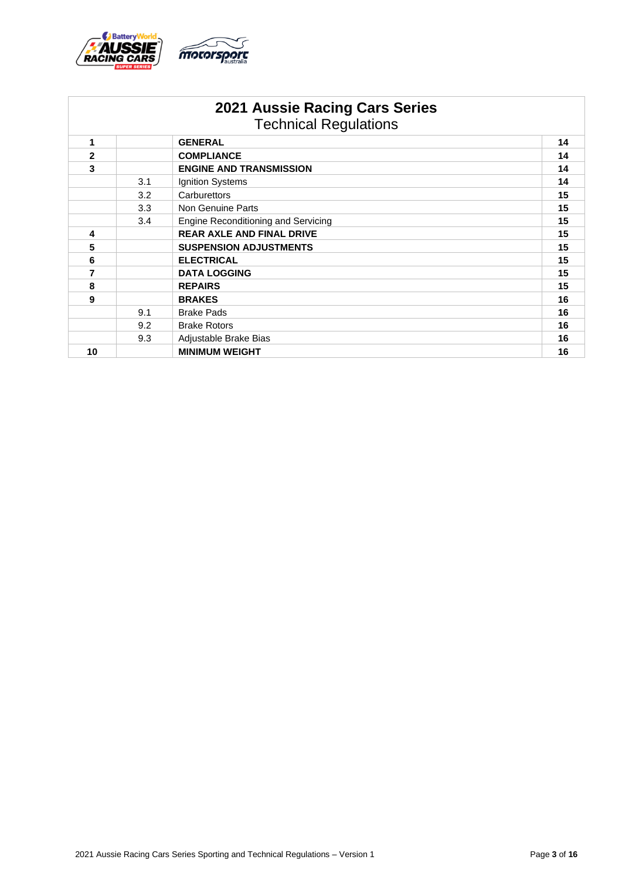

|                |                   | <b>2021 Aussie Racing Cars Series</b><br><b>Technical Regulations</b> |    |
|----------------|-------------------|-----------------------------------------------------------------------|----|
| 1              |                   | <b>GENERAL</b>                                                        | 14 |
| $\overline{2}$ | <b>COMPLIANCE</b> |                                                                       | 14 |
| 3              |                   | <b>ENGINE AND TRANSMISSION</b>                                        | 14 |
|                | 3.1               | Ignition Systems                                                      | 14 |
|                | 3.2               | Carburettors                                                          | 15 |
|                | 3.3               | Non Genuine Parts                                                     |    |
|                | 3.4               | Engine Reconditioning and Servicing                                   | 15 |
| 4              |                   | <b>REAR AXLE AND FINAL DRIVE</b>                                      | 15 |
| 5              |                   | <b>SUSPENSION ADJUSTMENTS</b>                                         | 15 |
| 6              |                   | <b>ELECTRICAL</b>                                                     | 15 |
| 7              |                   | <b>DATA LOGGING</b>                                                   | 15 |
| 8              |                   | <b>REPAIRS</b>                                                        | 15 |
| 9              |                   | <b>BRAKES</b>                                                         | 16 |
|                | 9.1               | <b>Brake Pads</b>                                                     | 16 |
|                | 9.2               | <b>Brake Rotors</b>                                                   | 16 |
|                | 9.3               | Adjustable Brake Bias                                                 | 16 |
| 10             |                   | <b>MINIMUM WEIGHT</b>                                                 | 16 |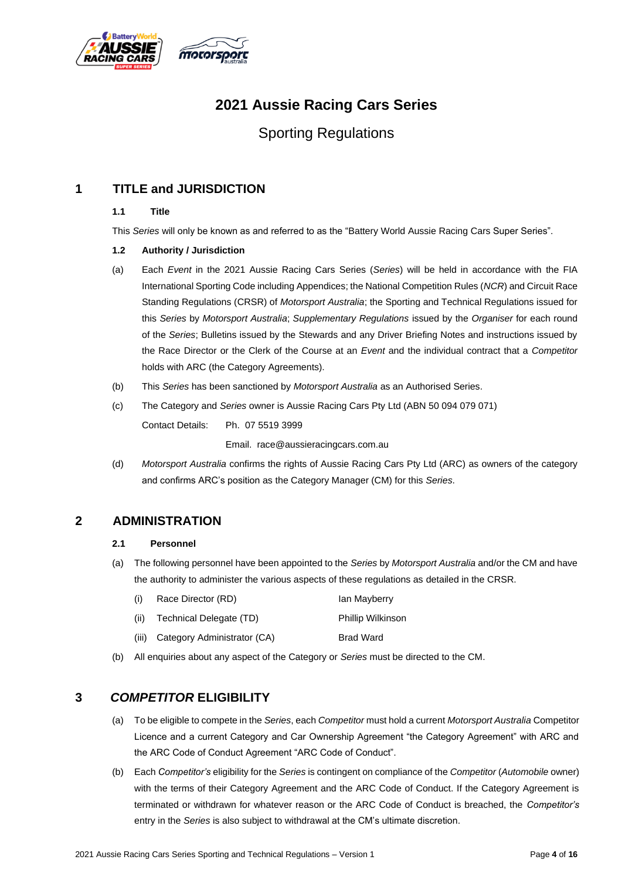

# **2021 Aussie Racing Cars Series**

# Sporting Regulations

## **1 TITLE and JURISDICTION**

### **1.1 Title**

This *Series* will only be known as and referred to as the "Battery World Aussie Racing Cars Super Series".

## **1.2 Authority / Jurisdiction**

- (a) Each *Event* in the 2021 Aussie Racing Cars Series (*Series*) will be held in accordance with the FIA International Sporting Code including Appendices; the National Competition Rules (*NCR*) and Circuit Race Standing Regulations (CRSR) of *Motorsport Australia*; the Sporting and Technical Regulations issued for this *Series* by *Motorsport Australia*; *Supplementary Regulations* issued by the *Organiser* for each round of the *Series*; Bulletins issued by the Stewards and any Driver Briefing Notes and instructions issued by the Race Director or the Clerk of the Course at an *Event* and the individual contract that a *Competitor*  holds with ARC (the Category Agreements).
- (b) This *Series* has been sanctioned by *Motorsport Australia* as an Authorised Series.
- (c) The Category and *Series* owner is Aussie Racing Cars Pty Ltd (ABN 50 094 079 071)

Contact Details: Ph. 07 5519 3999

Email. race@aussieracingcars.com.au

(d) *Motorsport Australia* confirms the rights of Aussie Racing Cars Pty Ltd (ARC) as owners of the category and confirms ARC's position as the Category Manager (CM) for this *Series*.

## **2 ADMINISTRATION**

#### **2.1 Personnel**

- (a) The following personnel have been appointed to the *Series* by *Motorsport Australia* and/or the CM and have the authority to administer the various aspects of these regulations as detailed in the CRSR.
	- (i) Race Director (RD) Ian Mayberry
	- (ii) Technical Delegate (TD) Phillip Wilkinson
	- (iii) Category Administrator (CA) Brad Ward
- (b) All enquiries about any aspect of the Category or *Series* must be directed to the CM.

## **3** *COMPETITOR* **ELIGIBILITY**

- (a) To be eligible to compete in the *Series*, each *Competitor* must hold a current *Motorsport Australia* Competitor Licence and a current Category and Car Ownership Agreement "the Category Agreement" with ARC and the ARC Code of Conduct Agreement "ARC Code of Conduct".
- (b) Each *Competitor's* eligibility for the *Series* is contingent on compliance of the *Competitor* (*Automobile* owner) with the terms of their Category Agreement and the ARC Code of Conduct. If the Category Agreement is terminated or withdrawn for whatever reason or the ARC Code of Conduct is breached, the *Competitor's* entry in the *Series* is also subject to withdrawal at the CM's ultimate discretion.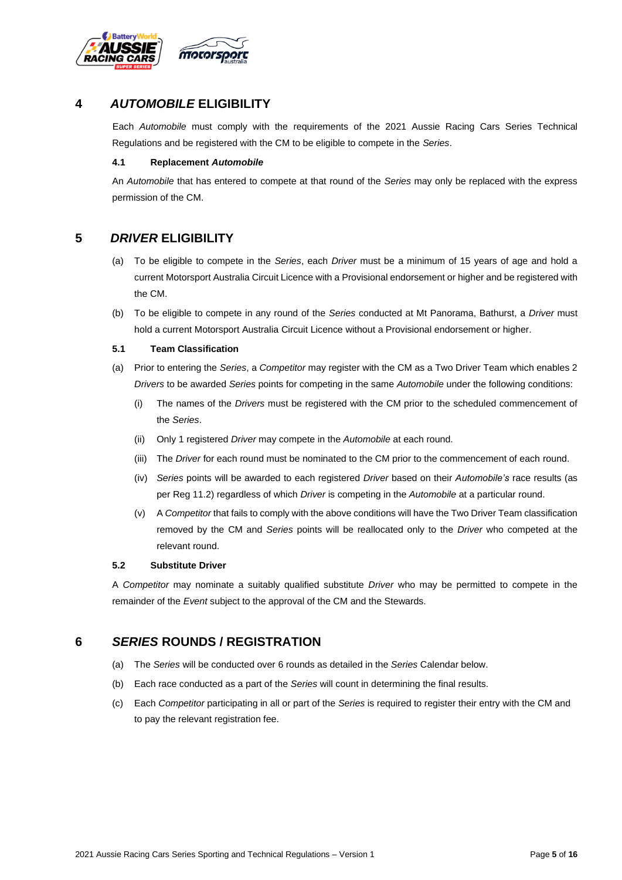

## **4** *AUTOMOBILE* **ELIGIBILITY**

Each *Automobile* must comply with the requirements of the 2021 Aussie Racing Cars Series Technical Regulations and be registered with the CM to be eligible to compete in the *Series*.

#### **4.1 Replacement** *Automobile*

An *Automobile* that has entered to compete at that round of the *Series* may only be replaced with the express permission of the CM.

## **5** *DRIVER* **ELIGIBILITY**

- (a) To be eligible to compete in the *Series*, each *Driver* must be a minimum of 15 years of age and hold a current Motorsport Australia Circuit Licence with a Provisional endorsement or higher and be registered with the CM.
- (b) To be eligible to compete in any round of the *Series* conducted at Mt Panorama, Bathurst, a *Driver* must hold a current Motorsport Australia Circuit Licence without a Provisional endorsement or higher.

#### **5.1 Team Classification**

- (a) Prior to entering the *Series*, a *Competitor* may register with the CM as a Two Driver Team which enables 2 *Drivers* to be awarded *Series* points for competing in the same *Automobile* under the following conditions:
	- (i) The names of the *Drivers* must be registered with the CM prior to the scheduled commencement of the *Series*.
	- (ii) Only 1 registered *Driver* may compete in the *Automobile* at each round.
	- (iii) The *Driver* for each round must be nominated to the CM prior to the commencement of each round.
	- (iv) *Series* points will be awarded to each registered *Driver* based on their *Automobile's* race results (as per Reg 11.2) regardless of which *Driver* is competing in the *Automobile* at a particular round.
	- (v) A *Competitor* that fails to comply with the above conditions will have the Two Driver Team classification removed by the CM and *Series* points will be reallocated only to the *Driver* who competed at the relevant round.

#### **5.2 Substitute Driver**

A *Competitor* may nominate a suitably qualified substitute *Driver* who may be permitted to compete in the remainder of the *Event* subject to the approval of the CM and the Stewards.

## **6** *SERIES* **ROUNDS / REGISTRATION**

- (a) The *Series* will be conducted over 6 rounds as detailed in the *Series* Calendar below.
- (b) Each race conducted as a part of the *Series* will count in determining the final results.
- (c) Each *Competitor* participating in all or part of the *Series* is required to register their entry with the CM and to pay the relevant registration fee.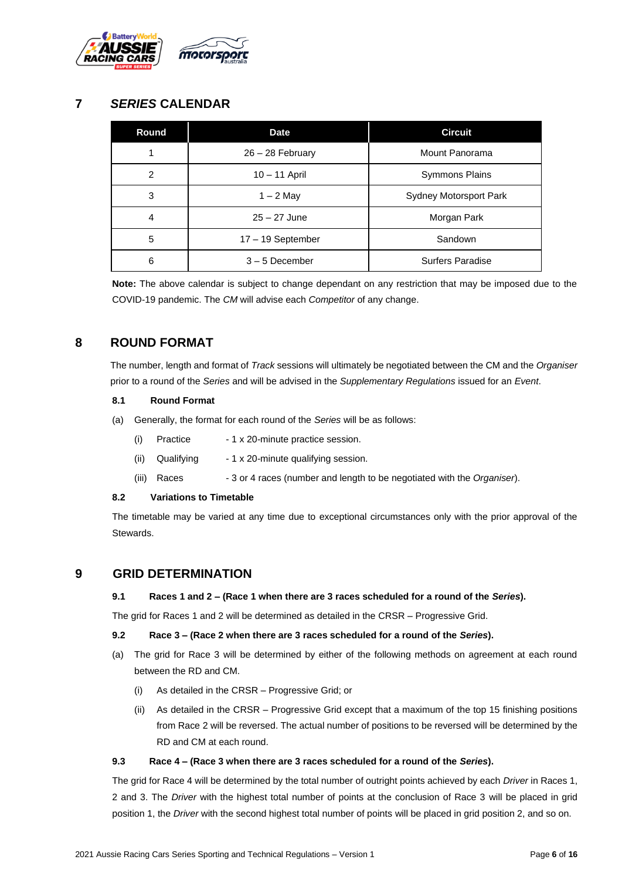

## **7** *SERIES* **CALENDAR**

| Round          | <b>Date</b>        | <b>Circuit</b>         |  |
|----------------|--------------------|------------------------|--|
|                | $26 - 28$ February | Mount Panorama         |  |
| $\overline{2}$ | $10 - 11$ April    | <b>Symmons Plains</b>  |  |
| 3              | $1 - 2$ May        | Sydney Motorsport Park |  |
| 4              | $25 - 27$ June     | Morgan Park            |  |
| 5              | 17 - 19 September  | Sandown                |  |
| 6              | $3 - 5$ December   | Surfers Paradise       |  |

**Note:** The above calendar is subject to change dependant on any restriction that may be imposed due to the COVID-19 pandemic. The *CM* will advise each *Competitor* of any change.

## **8 ROUND FORMAT**

The number, length and format of *Track* sessions will ultimately be negotiated between the CM and the *Organiser* prior to a round of the *Series* and will be advised in the *Supplementary Regulations* issued for an *Event*.

#### **8.1 Round Format**

- (a) Generally, the format for each round of the *Series* will be as follows:
	- (i) Practice 1 x 20-minute practice session.
	- (ii) Qualifying  $-1 \times 20$ -minute qualifying session.
	- (iii) Races 3 or 4 races (number and length to be negotiated with the *Organiser*).

## **8.2 Variations to Timetable**

The timetable may be varied at any time due to exceptional circumstances only with the prior approval of the Stewards.

## **9 GRID DETERMINATION**

#### **9.1 Races 1 and 2 – (Race 1 when there are 3 races scheduled for a round of the** *Series***).**

The grid for Races 1 and 2 will be determined as detailed in the CRSR – Progressive Grid.

#### **9.2 Race 3 – (Race 2 when there are 3 races scheduled for a round of the** *Series***).**

- (a) The grid for Race 3 will be determined by either of the following methods on agreement at each round between the RD and CM.
	- (i) As detailed in the CRSR Progressive Grid; or
	- (ii) As detailed in the CRSR Progressive Grid except that a maximum of the top 15 finishing positions from Race 2 will be reversed. The actual number of positions to be reversed will be determined by the RD and CM at each round.

#### **9.3 Race 4 – (Race 3 when there are 3 races scheduled for a round of the** *Series***).**

The grid for Race 4 will be determined by the total number of outright points achieved by each *Driver* in Races 1, 2 and 3. The *Driver* with the highest total number of points at the conclusion of Race 3 will be placed in grid position 1, the *Driver* with the second highest total number of points will be placed in grid position 2, and so on.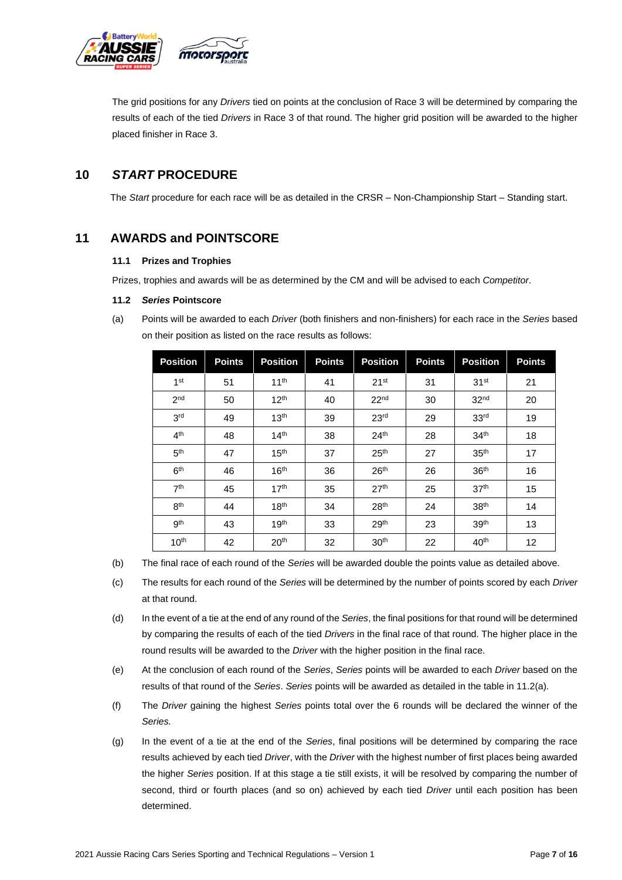

The grid positions for any *Drivers* tied on points at the conclusion of Race 3 will be determined by comparing the results of each of the tied *Drivers* in Race 3 of that round. The higher grid position will be awarded to the higher placed finisher in Race 3.

## **10** *START* **PROCEDURE**

The *Start* procedure for each race will be as detailed in the CRSR – Non-Championship Start – Standing start.

## **11 AWARDS and POINTSCORE**

#### **11.1 Prizes and Trophies**

Prizes, trophies and awards will be as determined by the CM and will be advised to each *Competitor*.

#### **11.2** *Series* **Pointscore**

(a) Points will be awarded to each *Driver* (both finishers and non-finishers) for each race in the *Series* based on their position as listed on the race results as follows:

| <b>Position</b>  | <b>Points</b> | <b>Position</b>  | <b>Points</b> | <b>Position</b>  | <b>Points</b> | <b>Position</b>  | <b>Points</b> |
|------------------|---------------|------------------|---------------|------------------|---------------|------------------|---------------|
| 1 <sup>st</sup>  | 51            | 11 <sup>th</sup> | 41            | 21 <sup>st</sup> | 31            | 31 <sup>st</sup> | 21            |
| 2 <sub>nd</sub>  | 50            | 12 <sup>th</sup> | 40            | 22 <sup>nd</sup> | 30            | 32 <sup>nd</sup> | 20            |
| 3 <sup>rd</sup>  | 49            | 13 <sup>th</sup> | 39            | 23 <sup>rd</sup> | 29            | 33 <sup>rd</sup> | 19            |
| 4 <sup>th</sup>  | 48            | 14 <sup>th</sup> | 38            | 24 <sup>th</sup> | 28            | 34 <sup>th</sup> | 18            |
| 5 <sup>th</sup>  | 47            | 15 <sup>th</sup> | 37            | 25 <sup>th</sup> | 27            | 35 <sup>th</sup> | 17            |
| 6 <sup>th</sup>  | 46            | 16 <sup>th</sup> | 36            | 26 <sup>th</sup> | 26            | 36 <sup>th</sup> | 16            |
| 7 <sup>th</sup>  | 45            | 17 <sup>th</sup> | 35            | 27 <sup>th</sup> | 25            | 37 <sup>th</sup> | 15            |
| 8 <sup>th</sup>  | 44            | 18 <sup>th</sup> | 34            | 28 <sup>th</sup> | 24            | 38 <sup>th</sup> | 14            |
| gth              | 43            | 19 <sup>th</sup> | 33            | 29 <sup>th</sup> | 23            | 39 <sup>th</sup> | 13            |
| 10 <sup>th</sup> | 42            | 20 <sup>th</sup> | 32            | 30 <sup>th</sup> | 22            | 40 <sup>th</sup> | 12            |

(b) The final race of each round of the *Series* will be awarded double the points value as detailed above.

- (c) The results for each round of the *Series* will be determined by the number of points scored by each *Driver*  at that round.
- (d) In the event of a tie at the end of any round of the *Series*, the final positions for that round will be determined by comparing the results of each of the tied *Drivers* in the final race of that round. The higher place in the round results will be awarded to the *Driver* with the higher position in the final race.
- (e) At the conclusion of each round of the *Series*, *Series* points will be awarded to each *Driver* based on the results of that round of the *Series*. *Series* points will be awarded as detailed in the table in 11.2(a).
- (f) The *Driver* gaining the highest *Series* points total over the 6 rounds will be declared the winner of the *Series.*
- (g) In the event of a tie at the end of the *Series*, final positions will be determined by comparing the race results achieved by each tied *Driver*, with the *Driver* with the highest number of first places being awarded the higher *Series* position. If at this stage a tie still exists, it will be resolved by comparing the number of second, third or fourth places (and so on) achieved by each tied *Driver* until each position has been determined.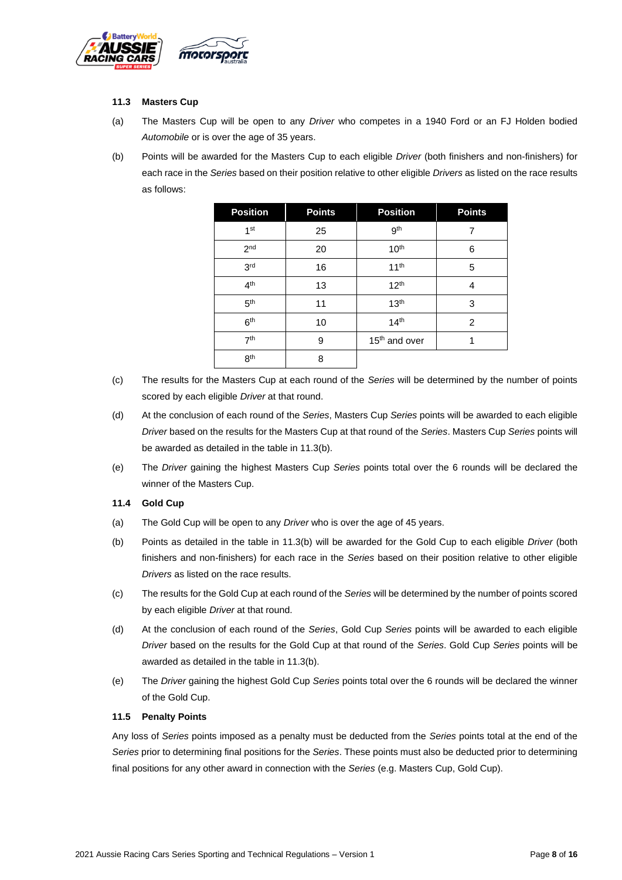

#### **11.3 Masters Cup**

- (a) The Masters Cup will be open to any *Driver* who competes in a 1940 Ford or an FJ Holden bodied *Automobile* or is over the age of 35 years.
- (b) Points will be awarded for the Masters Cup to each eligible *Driver* (both finishers and non-finishers) for each race in the *Series* based on their position relative to other eligible *Drivers* as listed on the race results as follows:

| <b>Position</b> | <b>Points</b> | <b>Position</b>           | <b>Points</b> |
|-----------------|---------------|---------------------------|---------------|
| 1 <sup>st</sup> | 25            | gth                       | 7             |
| 2 <sub>nd</sub> | 20            | 10 <sup>th</sup>          | 6             |
| 3 <sup>rd</sup> | 16            | 11 <sup>th</sup>          | 5             |
| 4 <sup>th</sup> | 13            | 12 <sup>th</sup>          | 4             |
| 5 <sup>th</sup> | 11            | 13 <sup>th</sup>          | 3             |
| 6 <sup>th</sup> | 10            | 14 <sup>th</sup>          | 2             |
| 7 <sup>th</sup> | 9             | 15 <sup>th</sup> and over |               |
| 8 <sup>th</sup> | 8             |                           |               |

- (c) The results for the Masters Cup at each round of the *Series* will be determined by the number of points scored by each eligible *Driver* at that round.
- (d) At the conclusion of each round of the *Series*, Masters Cup *Series* points will be awarded to each eligible *Driver* based on the results for the Masters Cup at that round of the *Series*. Masters Cup *Series* points will be awarded as detailed in the table in 11.3(b).
- (e) The *Driver* gaining the highest Masters Cup *Series* points total over the 6 rounds will be declared the winner of the Masters Cup.

#### **11.4 Gold Cup**

- (a) The Gold Cup will be open to any *Driver* who is over the age of 45 years.
- (b) Points as detailed in the table in 11.3(b) will be awarded for the Gold Cup to each eligible *Driver* (both finishers and non-finishers) for each race in the *Series* based on their position relative to other eligible *Drivers* as listed on the race results.
- (c) The results for the Gold Cup at each round of the *Series* will be determined by the number of points scored by each eligible *Driver* at that round.
- (d) At the conclusion of each round of the *Series*, Gold Cup *Series* points will be awarded to each eligible *Driver* based on the results for the Gold Cup at that round of the *Series*. Gold Cup *Series* points will be awarded as detailed in the table in 11.3(b).
- (e) The *Driver* gaining the highest Gold Cup *Series* points total over the 6 rounds will be declared the winner of the Gold Cup.

#### **11.5 Penalty Points**

Any loss of *Series* points imposed as a penalty must be deducted from the *Series* points total at the end of the *Series* prior to determining final positions for the *Series*. These points must also be deducted prior to determining final positions for any other award in connection with the *Series* (e.g. Masters Cup, Gold Cup).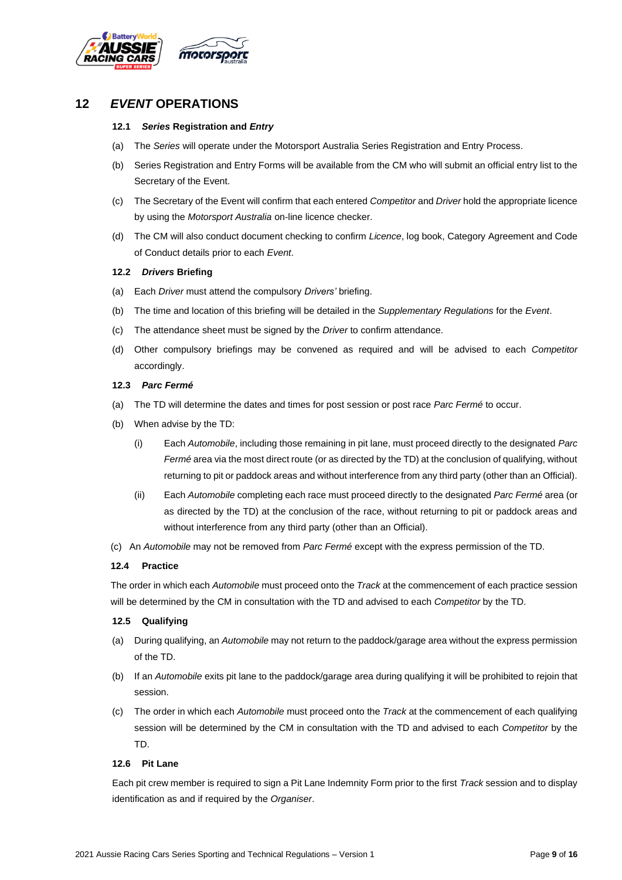

## **12** *EVENT* **OPERATIONS**

#### **12.1** *Series* **Registration and** *Entry*

- (a) The *Series* will operate under the Motorsport Australia Series Registration and Entry Process.
- (b) Series Registration and Entry Forms will be available from the CM who will submit an official entry list to the Secretary of the Event.
- (c) The Secretary of the Event will confirm that each entered *Competitor* and *Driver* hold the appropriate licence by using the *Motorsport Australia* on-line licence checker.
- (d) The CM will also conduct document checking to confirm *Licence*, log book, Category Agreement and Code of Conduct details prior to each *Event*.

#### **12.2** *Drivers* **Briefing**

- (a) Each *Driver* must attend the compulsory *Drivers'* briefing.
- (b) The time and location of this briefing will be detailed in the *Supplementary Regulations* for the *Event*.
- (c) The attendance sheet must be signed by the *Driver* to confirm attendance.
- (d) Other compulsory briefings may be convened as required and will be advised to each *Competitor* accordingly.

#### **12.3** *Parc Fermé*

- (a) The TD will determine the dates and times for post session or post race *Parc Fermé* to occur.
- (b) When advise by the TD:
	- (i) Each *Automobile*, including those remaining in pit lane, must proceed directly to the designated *Parc Fermé* area via the most direct route (or as directed by the TD) at the conclusion of qualifying, without returning to pit or paddock areas and without interference from any third party (other than an Official).
	- (ii) Each *Automobile* completing each race must proceed directly to the designated *Parc Fermé* area (or as directed by the TD) at the conclusion of the race, without returning to pit or paddock areas and without interference from any third party (other than an Official).
- (c) An *Automobile* may not be removed from *Parc Fermé* except with the express permission of the TD.

#### **12.4 Practice**

The order in which each *Automobile* must proceed onto the *Track* at the commencement of each practice session will be determined by the CM in consultation with the TD and advised to each *Competitor* by the TD.

#### **12.5 Qualifying**

- (a) During qualifying, an *Automobile* may not return to the paddock/garage area without the express permission of the TD.
- (b) If an *Automobile* exits pit lane to the paddock/garage area during qualifying it will be prohibited to rejoin that session.
- (c) The order in which each *Automobile* must proceed onto the *Track* at the commencement of each qualifying session will be determined by the CM in consultation with the TD and advised to each *Competitor* by the TD.

#### **12.6 Pit Lane**

Each pit crew member is required to sign a Pit Lane Indemnity Form prior to the first *Track* session and to display identification as and if required by the *Organiser*.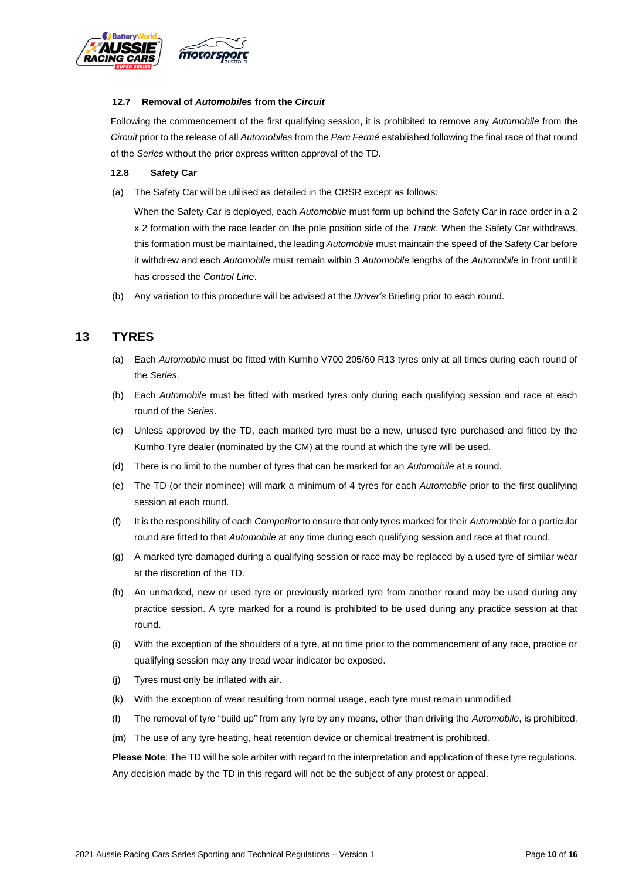

#### **12.7 Removal of** *Automobiles* **from the** *Circuit*

Following the commencement of the first qualifying session, it is prohibited to remove any *Automobile* from the *Circuit* prior to the release of all *Automobiles* from the *Parc Fermé* established following the final race of that round of the *Series* without the prior express written approval of the TD.

#### **12.8 Safety Car**

(a) The Safety Car will be utilised as detailed in the CRSR except as follows:

When the Safety Car is deployed, each *Automobile* must form up behind the Safety Car in race order in a 2 x 2 formation with the race leader on the pole position side of the *Track*. When the Safety Car withdraws, this formation must be maintained, the leading *Automobile* must maintain the speed of the Safety Car before it withdrew and each *Automobile* must remain within 3 *Automobile* lengths of the *Automobile* in front until it has crossed the *Control Line*.

(b) Any variation to this procedure will be advised at the *Driver's* Briefing prior to each round.

## **13 TYRES**

- (a) Each *Automobile* must be fitted with Kumho V700 205/60 R13 tyres only at all times during each round of the *Series*.
- (b) Each *Automobile* must be fitted with marked tyres only during each qualifying session and race at each round of the *Series*.
- (c) Unless approved by the TD, each marked tyre must be a new, unused tyre purchased and fitted by the Kumho Tyre dealer (nominated by the CM) at the round at which the tyre will be used.
- (d) There is no limit to the number of tyres that can be marked for an *Automobile* at a round.
- (e) The TD (or their nominee) will mark a minimum of 4 tyres for each *Automobile* prior to the first qualifying session at each round.
- (f) It is the responsibility of each *Competitor* to ensure that only tyres marked for their *Automobile* for a particular round are fitted to that *Automobile* at any time during each qualifying session and race at that round.
- (g) A marked tyre damaged during a qualifying session or race may be replaced by a used tyre of similar wear at the discretion of the TD.
- (h) An unmarked, new or used tyre or previously marked tyre from another round may be used during any practice session. A tyre marked for a round is prohibited to be used during any practice session at that round.
- (i) With the exception of the shoulders of a tyre, at no time prior to the commencement of any race, practice or qualifying session may any tread wear indicator be exposed.
- (j) Tyres must only be inflated with air.
- (k) With the exception of wear resulting from normal usage, each tyre must remain unmodified.
- (l) The removal of tyre "build up" from any tyre by any means, other than driving the *Automobile*, is prohibited.
- (m) The use of any tyre heating, heat retention device or chemical treatment is prohibited.

**Please Note**: The TD will be sole arbiter with regard to the interpretation and application of these tyre regulations. Any decision made by the TD in this regard will not be the subject of any protest or appeal.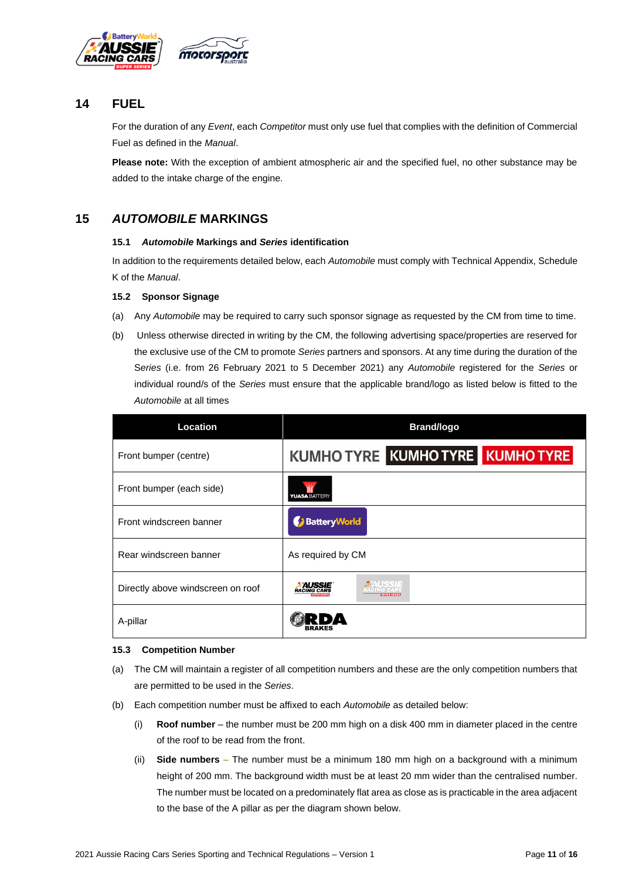

## **14 FUEL**

For the duration of any *Event*, each *Competitor* must only use fuel that complies with the definition of Commercial Fuel as defined in the *Manual*.

**Please note:** With the exception of ambient atmospheric air and the specified fuel, no other substance may be added to the intake charge of the engine.

## **15** *AUTOMOBILE* **MARKINGS**

#### **15.1** *Automobile* **Markings and** *Series* **identification**

In addition to the requirements detailed below, each *Automobile* must comply with Technical Appendix, Schedule K of the *Manual*.

#### **15.2 Sponsor Signage**

- (a) Any *Automobile* may be required to carry such sponsor signage as requested by the CM from time to time.
- (b) Unless otherwise directed in writing by the CM, the following advertising space/properties are reserved for the exclusive use of the CM to promote *Series* partners and sponsors. At any time during the duration of the S*eries* (i.e. from 26 February 2021 to 5 December 2021) any *Automobile* registered for the *Series* or individual round/s of the *Series* must ensure that the applicable brand/logo as listed below is fitted to the *Automobile* at all times

| Location                          | <b>Brand/logo</b>                   |  |
|-----------------------------------|-------------------------------------|--|
| Front bumper (centre)             | KUMHO TYRE KUMHO TYRE KUMHO TYRE    |  |
| Front bumper (each side)          | <b>YUASA BATTERY</b>                |  |
| Front windscreen banner           | Battery World                       |  |
| Rear windscreen banner            | As required by CM                   |  |
| Directly above windscreen on roof | <b>AUSSIE</b><br><b>RACING CARS</b> |  |
| A-pillar                          |                                     |  |

#### **15.3 Competition Number**

- (a) The CM will maintain a register of all competition numbers and these are the only competition numbers that are permitted to be used in the *Series*.
- (b) Each competition number must be affixed to each *Automobile* as detailed below:
	- (i) **Roof number** the number must be 200 mm high on a disk 400 mm in diameter placed in the centre of the roof to be read from the front.
	- (ii) **Side numbers** The number must be a minimum 180 mm high on a background with a minimum height of 200 mm. The background width must be at least 20 mm wider than the centralised number. The number must be located on a predominately flat area as close as is practicable in the area adjacent to the base of the A pillar as per the diagram shown below.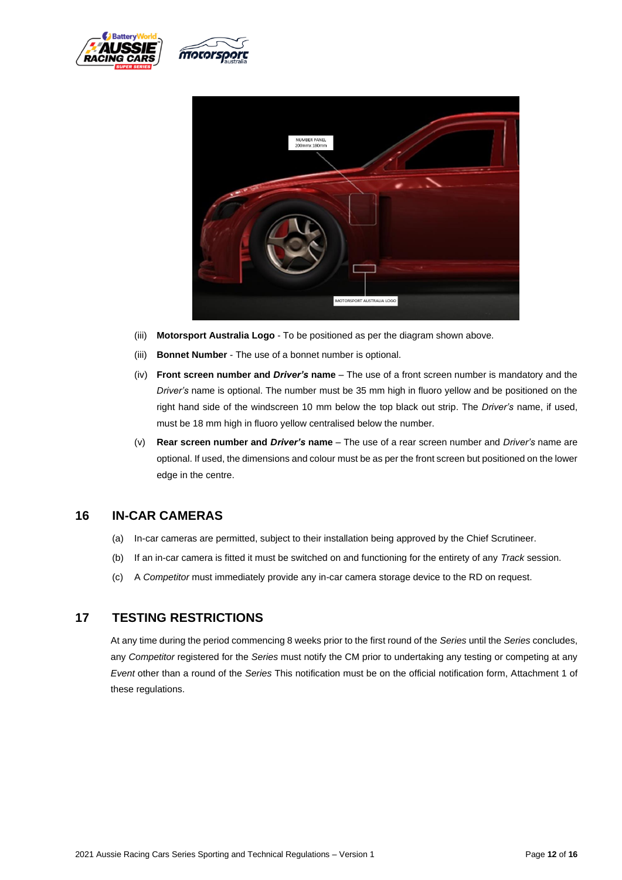





- (iii) **Motorsport Australia Logo** To be positioned as per the diagram shown above.
- (iii) **Bonnet Number** The use of a bonnet number is optional.
- (iv) **Front screen number and** *Driver's* **name** The use of a front screen number is mandatory and the *Driver's* name is optional. The number must be 35 mm high in fluoro yellow and be positioned on the right hand side of the windscreen 10 mm below the top black out strip. The *Driver's* name, if used, must be 18 mm high in fluoro yellow centralised below the number.
- (v) **Rear screen number and** *Driver's* **name** The use of a rear screen number and *Driver's* name are optional. If used, the dimensions and colour must be as per the front screen but positioned on the lower edge in the centre.

## **16 IN-CAR CAMERAS**

- (a) In-car cameras are permitted, subject to their installation being approved by the Chief Scrutineer.
- (b) If an in-car camera is fitted it must be switched on and functioning for the entirety of any *Track* session.
- (c) A *Competitor* must immediately provide any in-car camera storage device to the RD on request.

## **17 TESTING RESTRICTIONS**

At any time during the period commencing 8 weeks prior to the first round of the *Series* until the *Series* concludes, any *Competitor* registered for the *Series* must notify the CM prior to undertaking any testing or competing at any *Event* other than a round of the *Series* This notification must be on the official notification form, Attachment 1 of these regulations.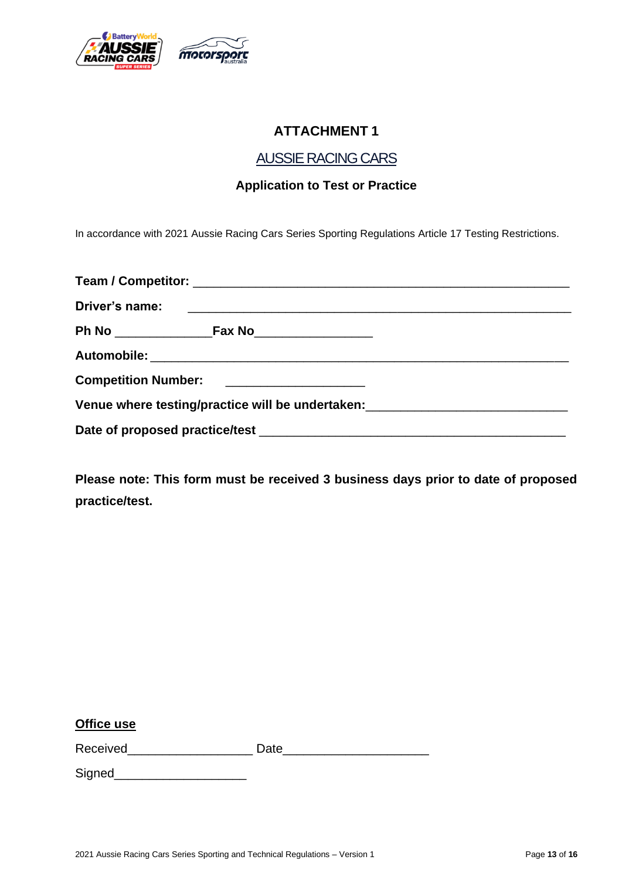

# **ATTACHMENT 1**

## AUSSIE RACING CARS

## **Application to Test or Practice**

In accordance with 2021 Aussie Racing Cars Series Sporting Regulations Article 17 Testing Restrictions.

| Competition Number: ______________________ |                                                                                  |
|--------------------------------------------|----------------------------------------------------------------------------------|
|                                            | Venue where testing/practice will be undertaken: _______________________________ |
|                                            |                                                                                  |

**Please note: This form must be received 3 business days prior to date of proposed practice/test.**

## **Office use**

Received **Example 20** Date

Signed\_\_\_\_\_\_\_\_\_\_\_\_\_\_\_\_\_\_\_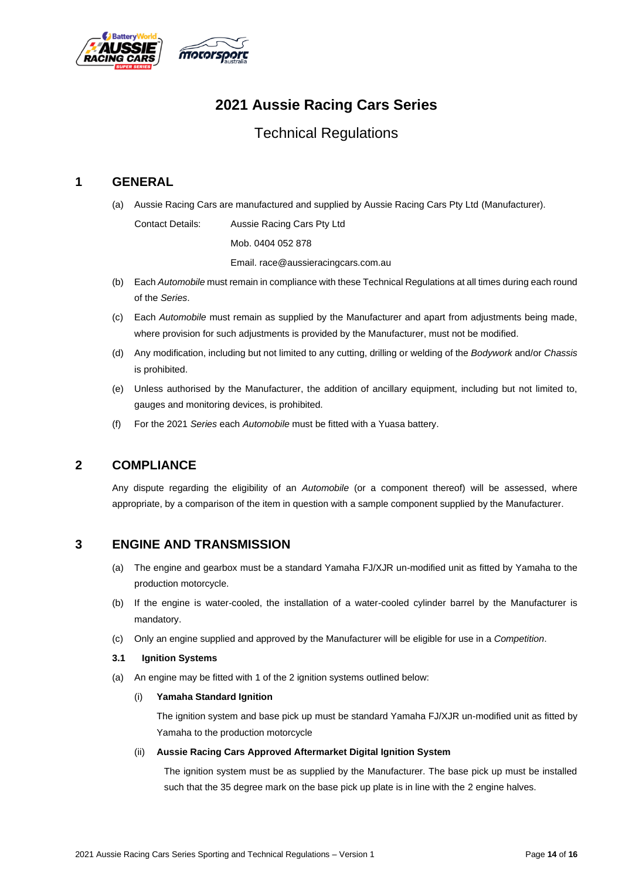

# **2021 Aussie Racing Cars Series**

# Technical Regulations

## **1 GENERAL**

(a) Aussie Racing Cars are manufactured and supplied by Aussie Racing Cars Pty Ltd (Manufacturer).

Contact Details: Aussie Racing Cars Pty Ltd Mob. 0404 052 878 Email. race@aussieracingcars.com.au

- (b) Each *Automobile* must remain in compliance with these Technical Regulations at all times during each round of the *Series*.
- (c) Each *Automobile* must remain as supplied by the Manufacturer and apart from adjustments being made, where provision for such adjustments is provided by the Manufacturer, must not be modified.
- (d) Any modification, including but not limited to any cutting, drilling or welding of the *Bodywork* and/or *Chassis* is prohibited.
- (e) Unless authorised by the Manufacturer, the addition of ancillary equipment, including but not limited to, gauges and monitoring devices, is prohibited.
- (f) For the 2021 *Series* each *Automobile* must be fitted with a Yuasa battery.

## **2 COMPLIANCE**

Any dispute regarding the eligibility of an *Automobile* (or a component thereof) will be assessed, where appropriate, by a comparison of the item in question with a sample component supplied by the Manufacturer.

## **3 ENGINE AND TRANSMISSION**

- (a) The engine and gearbox must be a standard Yamaha FJ/XJR un-modified unit as fitted by Yamaha to the production motorcycle.
- (b) If the engine is water-cooled, the installation of a water-cooled cylinder barrel by the Manufacturer is mandatory.
- (c) Only an engine supplied and approved by the Manufacturer will be eligible for use in a *Competition*.

#### **3.1 Ignition Systems**

(a) An engine may be fitted with 1 of the 2 ignition systems outlined below:

## (i) **Yamaha Standard Ignition**

The ignition system and base pick up must be standard Yamaha FJ/XJR un-modified unit as fitted by Yamaha to the production motorcycle

#### (ii) **Aussie Racing Cars Approved Aftermarket Digital Ignition System**

The ignition system must be as supplied by the Manufacturer. The base pick up must be installed such that the 35 degree mark on the base pick up plate is in line with the 2 engine halves.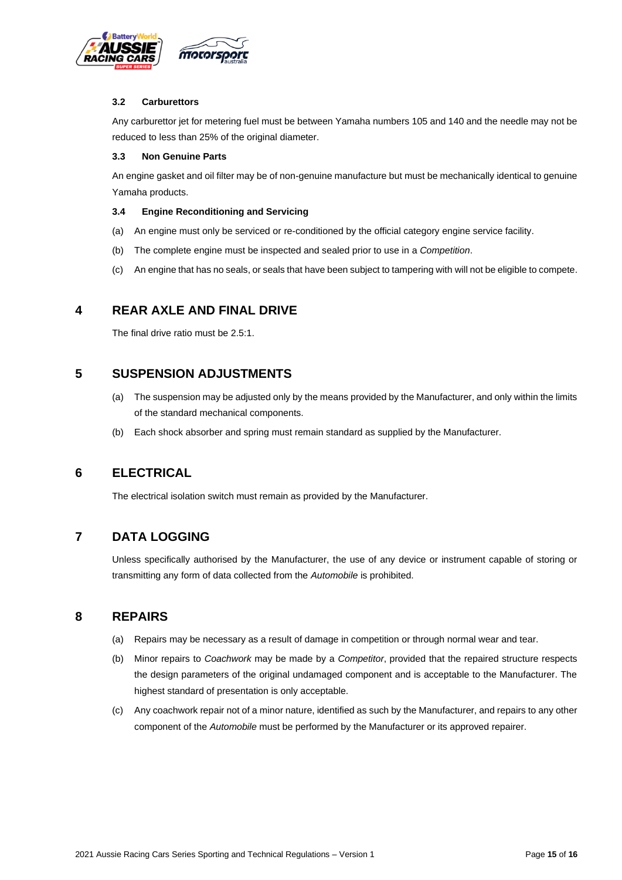

### **3.2 Carburettors**

Any carburettor jet for metering fuel must be between Yamaha numbers 105 and 140 and the needle may not be reduced to less than 25% of the original diameter.

#### **3.3 Non Genuine Parts**

An engine gasket and oil filter may be of non-genuine manufacture but must be mechanically identical to genuine Yamaha products.

#### **3.4 Engine Reconditioning and Servicing**

- (a) An engine must only be serviced or re-conditioned by the official category engine service facility.
- (b) The complete engine must be inspected and sealed prior to use in a *Competition*.
- (c) An engine that has no seals, or seals that have been subject to tampering with will not be eligible to compete.

## **4 REAR AXLE AND FINAL DRIVE**

The final drive ratio must be 2.5:1.

## **5 SUSPENSION ADJUSTMENTS**

- (a) The suspension may be adjusted only by the means provided by the Manufacturer, and only within the limits of the standard mechanical components.
- (b) Each shock absorber and spring must remain standard as supplied by the Manufacturer.

## **6 ELECTRICAL**

The electrical isolation switch must remain as provided by the Manufacturer.

## **7 DATA LOGGING**

Unless specifically authorised by the Manufacturer, the use of any device or instrument capable of storing or transmitting any form of data collected from the *Automobile* is prohibited.

## **8 REPAIRS**

- (a) Repairs may be necessary as a result of damage in competition or through normal wear and tear.
- (b) Minor repairs to *Coachwork* may be made by a *Competitor*, provided that the repaired structure respects the design parameters of the original undamaged component and is acceptable to the Manufacturer. The highest standard of presentation is only acceptable.
- (c) Any coachwork repair not of a minor nature, identified as such by the Manufacturer, and repairs to any other component of the *Automobile* must be performed by the Manufacturer or its approved repairer.